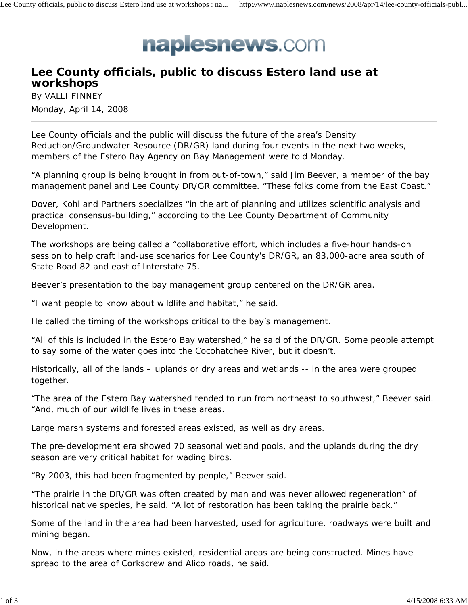

## **Lee County officials, public to discuss Estero land use at workshops**

By VALLI FINNEY Monday, April 14, 2008

Lee County officials and the public will discuss the future of the area's Density Reduction/Groundwater Resource (DR/GR) land during four events in the next two weeks, members of the Estero Bay Agency on Bay Management were told Monday.

"A planning group is being brought in from out-of-town," said Jim Beever, a member of the bay management panel and Lee County DR/GR committee. "These folks come from the East Coast."

Dover, Kohl and Partners specializes "in the art of planning and utilizes scientific analysis and practical consensus-building," according to the Lee County Department of Community Development.

The workshops are being called a "collaborative effort, which includes a five-hour hands-on session to help craft land-use scenarios for Lee County's DR/GR, an 83,000-acre area south of State Road 82 and east of Interstate 75.

Beever's presentation to the bay management group centered on the DR/GR area.

"I want people to know about wildlife and habitat," he said.

He called the timing of the workshops critical to the bay's management.

"All of this is included in the Estero Bay watershed," he said of the DR/GR. Some people attempt to say some of the water goes into the Cocohatchee River, but it doesn't.

Historically, all of the lands – uplands or dry areas and wetlands -- in the area were grouped together.

"The area of the Estero Bay watershed tended to run from northeast to southwest," Beever said. "And, much of our wildlife lives in these areas.

Large marsh systems and forested areas existed, as well as dry areas.

The pre-development era showed 70 seasonal wetland pools, and the uplands during the dry season are very critical habitat for wading birds.

"By 2003, this had been fragmented by people," Beever said.

"The prairie in the DR/GR was often created by man and was never allowed regeneration" of historical native species, he said. "A lot of restoration has been taking the prairie back."

Some of the land in the area had been harvested, used for agriculture, roadways were built and mining began.

Now, in the areas where mines existed, residential areas are being constructed. Mines have spread to the area of Corkscrew and Alico roads, he said.